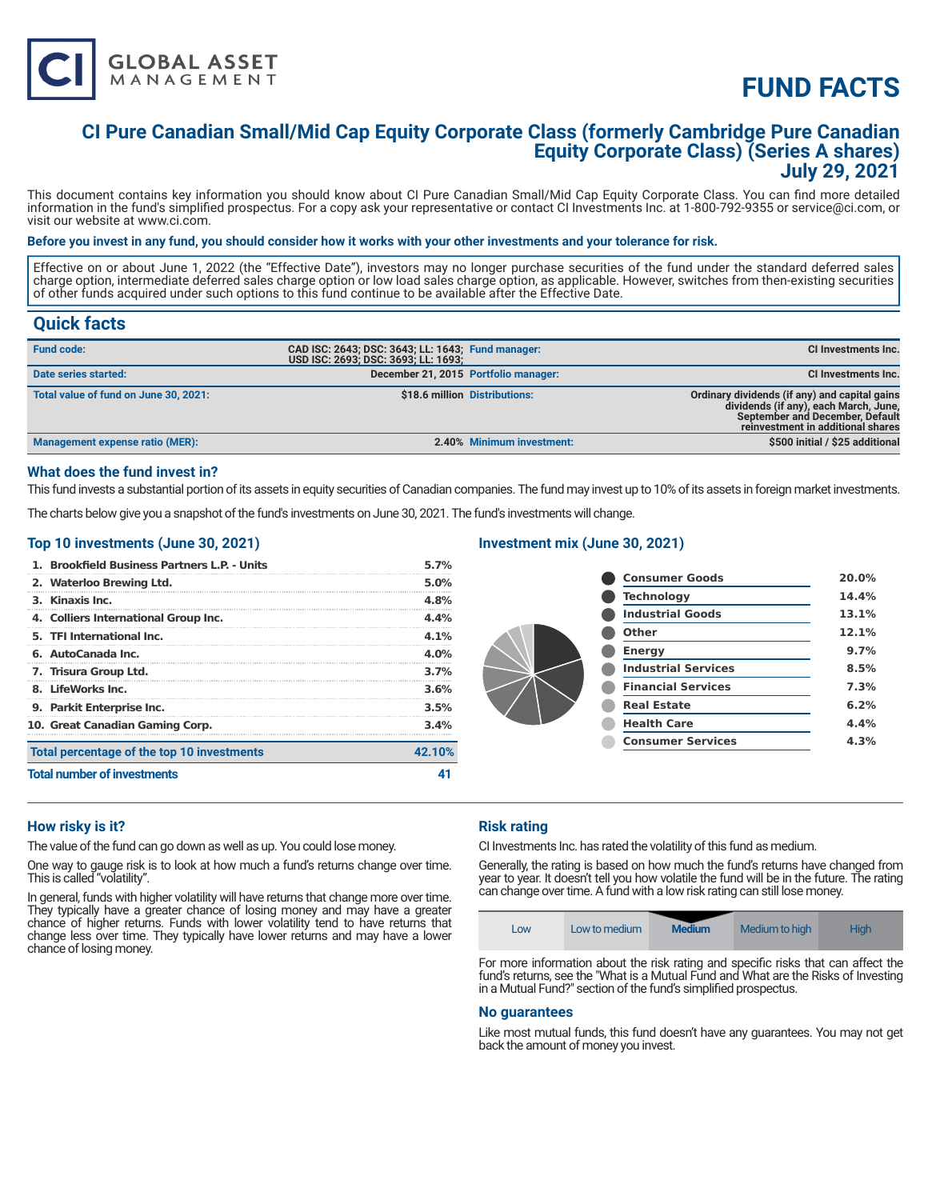

# **FUND FACTS**

### **CI Pure Canadian Small/Mid Cap Equity Corporate Class (formerly Cambridge Pure Canadian Equity Corporate Class) (Series A shares) July 29, 2021**

This document contains key information you should know about CI Pure Canadian Small/Mid Cap Equity Corporate Class. You can find more detailed information in the fund's simplified prospectus. For a copy ask your representative or contact CI Investments Inc. at 1-800-792-9355 or service@ci.com, or visit our website at www.ci.com.

#### **Before you invest in any fund, you should consider how it works with your other investments and your tolerance for risk.**

Effective on or about June 1, 2022 (the "Effective Date"), investors may no longer purchase securities of the fund under the standard deferred sales charge option, intermediate deferred sales charge option or low load sales charge option, as applicable. However, switches from then-existing securities of other funds acquired under such options to this fund continue to be available after the Effective Date.

### **Quick facts**

| <b>Fund code:</b>                     | CAD ISC: 2643; DSC: 3643; LL: 1643; Fund manager:<br>USD ISC: 2693; DSC: 3693; LL: 1693; |                               | CI Investments Inc.                                                                                                                                            |
|---------------------------------------|------------------------------------------------------------------------------------------|-------------------------------|----------------------------------------------------------------------------------------------------------------------------------------------------------------|
| Date series started:                  | December 21, 2015 Portfolio manager:                                                     |                               | <b>CI Investments Inc.</b>                                                                                                                                     |
| Total value of fund on June 30, 2021: |                                                                                          | \$18.6 million Distributions: | Ordinary dividends (if any) and capital gains<br>dividends (if any), each March, June,<br>September and December, Default<br>reinvestment in additional shares |
| Management expense ratio (MER):       |                                                                                          | 2.40% Minimum investment:     | \$500 initial / \$25 additional                                                                                                                                |

#### **What does the fund invest in?**

This fund invests a substantial portion of its assets in equity securities of Canadian companies. The fund may invest up to 10% of its assets in foreign market investments.

The charts below give you a snapshot of the fund's investments on June 30, 2021. The fund's investments will change.

#### **Top 10 investments (June 30, 2021)**

| 1. Brookfield Business Partners L.P. - Units | 5.7%    |
|----------------------------------------------|---------|
| 2. Waterloo Brewing Ltd.                     | 5.0%    |
| 3. Kinaxis Inc.                              | 4.8%    |
| 4. Colliers International Group Inc.         | 4.4%    |
| 5. TFI International Inc.                    | 4.1%    |
| 6. AutoCanada Inc.                           | $4.0\%$ |
| 7. Trisura Group Ltd.                        | 3.7%    |
| 8. LifeWorks Inc.                            | 3.6%    |
| 9. Parkit Enterprise Inc.                    | 3.5%    |
| 10. Great Canadian Gaming Corp.              | 3.4%    |
| Total percentage of the top 10 investments   | 42.10%  |
| <b>Total number of investments</b>           |         |

#### **Investment mix (June 30, 2021)**

| <b>Consumer Goods</b>      | 20.0% |
|----------------------------|-------|
| <b>Technology</b>          | 14.4% |
| <b>Industrial Goods</b>    | 13.1% |
| Other                      | 12.1% |
| <b>Energy</b>              | 9.7%  |
| <b>Industrial Services</b> | 8.5%  |
| <b>Financial Services</b>  | 7.3%  |
| <b>Real Estate</b>         | 6.2%  |
| <b>Health Care</b>         | 4.4%  |
| <b>Consumer Services</b>   | 4.3%  |
|                            |       |

#### **How risky is it?**

The value of the fund can go down as well as up. You could lose money.

One way to gauge risk is to look at how much a fund's returns change over time. This is called "volatility".

In general, funds with higher volatility will have returns that change more over time. They typically have a greater chance of losing money and may have a greater chance of higher returns. Funds with lower volatility tend to have returns that change less over time. They typically have lower returns and may have a lower chance of losing money.

#### **Risk rating**

CI Investments Inc. has rated the volatility of this fund as medium.

Generally, the rating is based on how much the fund's returns have changed from year to year. It doesn't tell you how volatile the fund will be in the future. The rating can change over time. A fund with a low risk rating can still lose money.



fund's returns, see the "What is a Mutual Fund and What are the Risks of Investing in a Mutual Fund?" section of the fund's simplified prospectus.

#### **No guarantees**

Like most mutual funds, this fund doesn't have any guarantees. You may not get back the amount of money you invest.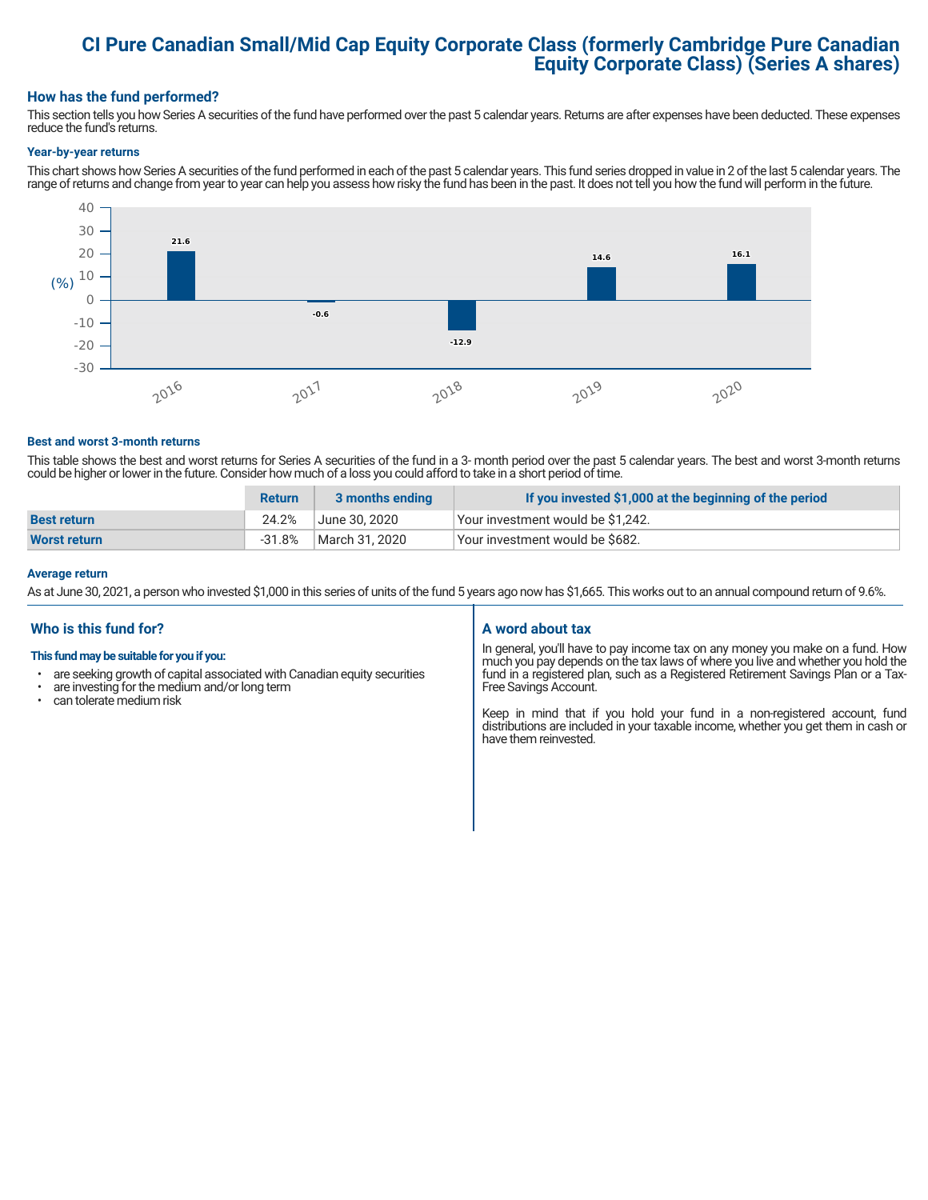## **CI Pure Canadian Small/Mid Cap Equity Corporate Class (formerly Cambridge Pure Canadian Equity Corporate Class) (Series A shares)**

#### **How has the fund performed?**

This section tells you how Series A securities of the fund have performed over the past 5 calendar years. Returns are after expenses have been deducted. These expenses reduce the fund's returns.

#### **Year-by-year returns**

This chart shows how Series A securities of the fund performed in each of the past 5 calendar years. This fund series dropped in value in 2 of the last 5 calendar years. The range of returns and change from year to year can help you assess how risky the fund has been in the past. It does not tell you how the fund will perform in the future.



#### **Best and worst 3-month returns**

This table shows the best and worst returns for Series A securities of the fund in a 3- month period over the past 5 calendar years. The best and worst 3-month returns could be higher or lower in the future. Consider how much of a loss you could afford to take in a short period of time.

|                     | <b>Return</b> | 3 months ending | If you invested \$1,000 at the beginning of the period |
|---------------------|---------------|-----------------|--------------------------------------------------------|
| <b>Best return</b>  | 24.2%         | June 30. 2020   | Your investment would be \$1,242.                      |
| <b>Worst return</b> | $-31.8%$      | March 31. 2020  | Your investment would be \$682.                        |

#### **Average return**

As at June 30, 2021, a person who invested \$1,000 in this series of units of the fund 5 years ago now has \$1,665. This works out to an annual compound return of 9.6%.

#### **Who is this fund for?**

#### **This fund may be suitable for you if you:**

- are seeking growth of capital associated with Canadian equity securities
- $\cdot$  are investing for the medium and/or long term<br> $\cdot$  can telerate medium risk
- can tolerate medium risk

#### **A word about tax**

In general, you'll have to pay income tax on any money you make on a fund. How much you pay depends on the tax laws of where you live and whether you hold the fund in a registered plan, such as a Registered Retirement Savings Plan or a Tax-Free Savings Account.

Keep in mind that if you hold your fund in a non-registered account, fund distributions are included in your taxable income, whether you get them in cash or have them reinvested.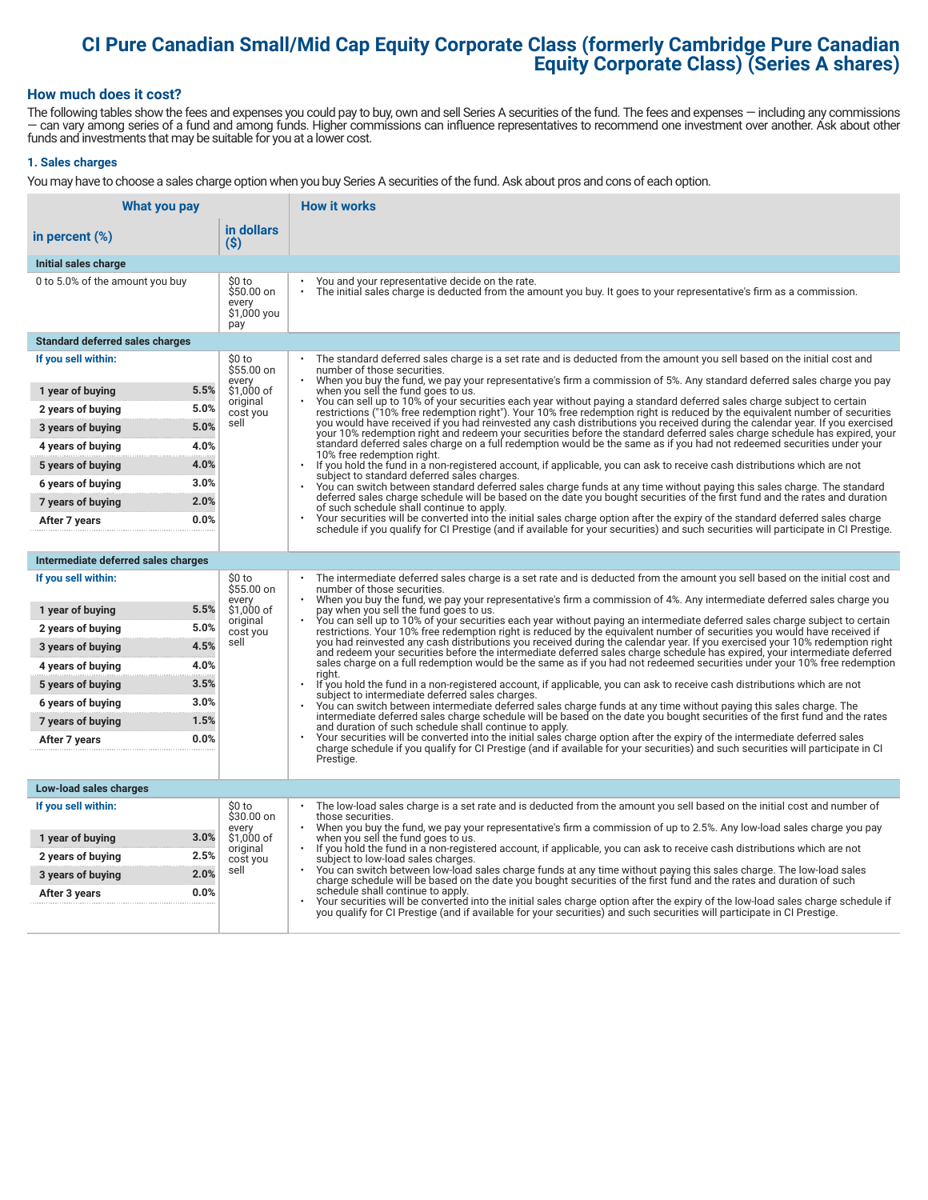# **CI Pure Canadian Small/Mid Cap Equity Corporate Class (formerly Cambridge Pure Canadian Equity Corporate Class) (Series A shares)**

#### **How much does it cost?**

The following tables show the fees and expenses you could pay to buy, own and sell Series A securities of the fund. The fees and expenses — including any commissions — can vary among series of a fund and among funds. Higher commissions can influence representatives to recommend one investment over another. Ask about other funds and investments that may be suitable for you at a lower cost.

#### **1. Sales charges**

You may have to choose a sales charge option when you buy Series A securities of the fund. Ask about pros and cons of each option.

| What you pay                           |                                                     | <b>How it works</b>                                                                                                                                                                                                                                                                   |
|----------------------------------------|-----------------------------------------------------|---------------------------------------------------------------------------------------------------------------------------------------------------------------------------------------------------------------------------------------------------------------------------------------|
| in percent (%)                         | in dollars<br>$($ \$)                               |                                                                                                                                                                                                                                                                                       |
| Initial sales charge                   |                                                     |                                                                                                                                                                                                                                                                                       |
| 0 to 5.0% of the amount you buy        | \$0 to<br>\$50.00 on<br>every<br>\$1,000 you<br>pay | You and your representative decide on the rate.<br>The initial sales charge is deducted from the amount you buy. It goes to your representative's firm as a commission.                                                                                                               |
| <b>Standard deferred sales charges</b> |                                                     |                                                                                                                                                                                                                                                                                       |
| If you sell within:                    | \$0 to<br>\$55.00 on                                | The standard deferred sales charge is a set rate and is deducted from the amount you sell based on the initial cost and<br>number of those securities.                                                                                                                                |
| 1 year of buying                       | every<br>5.5%<br>\$1,000 of                         | When you buy the fund, we pay your representative's firm a commission of 5%. Any standard deferred sales charge you pay<br>when you sell the fund goes to us.                                                                                                                         |
| 2 years of buying                      | original<br>5.0%<br>cost you                        | You can sell up to 10% of your securities each year without paying a standard deferred sales charge subject to certain<br>restrictions ("10% free redemption right"). Your 10% free redemption right is reduced by the equivalent number of securities                                |
| 3 years of buying                      | sell<br>5.0%                                        | you would have received if you had reinvested any cash distributions you received during the calendar year. If you exercised<br>your 10% redemption right and redeem your securities before the standard deferred sales charge schedule has expired, your                             |
| 4 years of buying                      | 4.0%                                                | standard deferred sales charge on a full redemption would be the same as if you had not redeemed securities under your<br>10% free redemption right.                                                                                                                                  |
| 5 years of buying                      | 4.0%                                                | $\ddot{\phantom{0}}$<br>If you hold the fund in a non-registered account, if applicable, you can ask to receive cash distributions which are not                                                                                                                                      |
| 6 years of buying                      | 3.0%                                                | subject to standard deferred sales charges.<br>You can switch between standard deferred sales charge funds at any time without paying this sales charge. The standard                                                                                                                 |
| 7 years of buying                      | 2.0%                                                | deferred sales charge schedule will be based on the date you bought securities of the first fund and the rates and duration<br>of such schedule shall continue to apply.                                                                                                              |
| After 7 years                          | 0.0%                                                | Your securities will be converted into the initial sales charge option after the expiry of the standard deferred sales charge<br>schedule if you qualify for CI Prestige (and if available for your securities) and such securities will participate in CI Prestige.                  |
|                                        |                                                     |                                                                                                                                                                                                                                                                                       |
| Intermediate deferred sales charges    |                                                     |                                                                                                                                                                                                                                                                                       |
| If you sell within:                    | \$0 to<br>\$55.00 on<br>every                       | The intermediate deferred sales charge is a set rate and is deducted from the amount you sell based on the initial cost and<br>number of those securities.<br>When you buy the fund, we pay your representative's firm a commission of 4%. Any intermediate deferred sales charge you |
| 1 year of buying                       | 5.5%<br>\$1,000 of                                  | pay when you sell the fund goes to us.<br>You can sell up to 10% of your securities each year without paying an intermediate deferred sales charge subject to certain                                                                                                                 |
| 2 years of buying                      | original<br>5.0%<br>cost you                        | restrictions. Your 10% free redemption right is reduced by the equivalent number of securities you would have received if                                                                                                                                                             |
| 3 years of buying                      | sell<br>4.5%                                        | you had reinvested any cash distributions you received during the calendar year. If you exercised your 10% redemption right<br>and redeem your securities before the intermediate deferred sales charge schedule has expired, your intermediate deferred                              |
| 4 years of buying                      | 4.0%                                                | sales charge on a full redemption would be the same as if you had not redeemed securities under your 10% free redemption<br>riaht.                                                                                                                                                    |
| 5 years of buying                      | 3.5%                                                | If you hold the fund in a non-registered account, if applicable, you can ask to receive cash distributions which are not<br>subject to intermediate deferred sales charges.                                                                                                           |
| 6 years of buying                      | 3.0%                                                | You can switch between intermediate deferred sales charge funds at any time without paying this sales charge. The<br>intermediate deferred sales charge schedule will be based on the date you bought securities of the first fund and the rates                                      |
| 7 years of buying                      | 1.5%                                                | and duration of such schedule shall continue to apply.                                                                                                                                                                                                                                |
| After 7 years                          | 0.0%                                                | Your securities will be converted into the initial sales charge option after the expiry of the intermediate deferred sales<br>charge schedule if you qualify for CI Prestige (and if available for your securities) and such securities will participate in CI                        |
|                                        |                                                     | Prestige.                                                                                                                                                                                                                                                                             |
| Low-load sales charges                 |                                                     |                                                                                                                                                                                                                                                                                       |
| If you sell within:                    | \$0 to<br>\$30.00 on                                | The low-load sales charge is a set rate and is deducted from the amount you sell based on the initial cost and number of<br>those securities.                                                                                                                                         |
| 1 year of buying                       | every<br>3.0%<br>\$1,000 of                         | When you buy the fund, we pay your representative's firm a commission of up to 2.5%. Any low-load sales charge you pay<br>when you sell the fund goes to us.                                                                                                                          |
| 2 years of buying                      | original<br>2.5%<br>cost you                        | If you hold the fund in a non-registered account, if applicable, you can ask to receive cash distributions which are not<br>subject to low-load sales charges.                                                                                                                        |
| 3 years of buying                      | sell<br>2.0%                                        | You can switch between low-load sales charge funds at any time without paying this sales charge. The low-load sales<br>charge schedule will be based on the date you bought securities of the first fund and the rates and duration of such                                           |
| After 3 years                          | 0.0%                                                | schedule shall continue to apply.<br>Your securities will be converted into the initial sales charge option after the expiry of the low-load sales charge schedule if                                                                                                                 |
|                                        |                                                     | you qualify for CI Prestige (and if available for your securities) and such securities will participate in CI Prestige.                                                                                                                                                               |